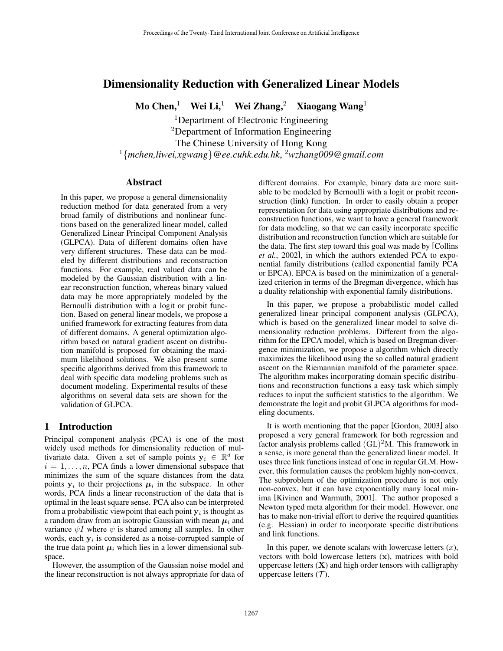# Dimensionality Reduction with Generalized Linear Models

Mo Chen,<sup>1</sup> Wei Li,<sup>1</sup> Wei Zhang,<sup>2</sup> Xiaogang Wang<sup>1</sup>

<sup>1</sup>Department of Electronic Engineering

<sup>2</sup>Department of Information Engineering

The Chinese University of Hong Kong

<sup>1</sup>{*mchen,liwei,xgwang*}*@ee.cuhk.edu.hk*, <sup>2</sup>*wzhang009@gmail.com*

### Abstract

In this paper, we propose a general dimensionality reduction method for data generated from a very broad family of distributions and nonlinear functions based on the generalized linear model, called Generalized Linear Principal Component Analysis (GLPCA). Data of different domains often have very different structures. These data can be modeled by different distributions and reconstruction functions. For example, real valued data can be modeled by the Gaussian distribution with a linear reconstruction function, whereas binary valued data may be more appropriately modeled by the Bernoulli distribution with a logit or probit function. Based on general linear models, we propose a unified framework for extracting features from data of different domains. A general optimization algorithm based on natural gradient ascent on distribution manifold is proposed for obtaining the maximum likelihood solutions. We also present some specific algorithms derived from this framework to deal with specific data modeling problems such as document modeling. Experimental results of these algorithms on several data sets are shown for the validation of GLPCA.

# 1 Introduction

Principal component analysis (PCA) is one of the most widely used methods for dimensionality reduction of multivariate data. Given a set of sample points  $y_i \in \mathbb{R}^d$  for  $i = 1, \ldots, n$ , PCA finds a lower dimensional subspace that minimizes the sum of the square distances from the data points  $y_i$  to their projections  $\mu_i$  in the subspace. In other words, PCA finds a linear reconstruction of the data that is optimal in the least square sense. PCA also can be interpreted from a probabilistic viewpoint that each point  $y_i$  is thought as a random draw from an isotropic Gaussian with mean  $\mu_i$  and variance  $\psi I$  where  $\psi$  is shared among all samples. In other words, each  $y_i$  is considered as a noise-corrupted sample of the true data point  $\mu_i$  which lies in a lower dimensional subspace.

However, the assumption of the Gaussian noise model and the linear reconstruction is not always appropriate for data of different domains. For example, binary data are more suitable to be modeled by Bernoulli with a logit or probit reconstruction (link) function. In order to easily obtain a proper representation for data using appropriate distributions and reconstruction functions, we want to have a general framework for data modeling, so that we can easily incorporate specific distribution and reconstruction function which are suitable for the data. The first step toward this goal was made by [Collins *et al.*, 2002], in which the authors extended PCA to exponential family distributions (called exponential family PCA or EPCA). EPCA is based on the minimization of a generalized criterion in terms of the Bregman divergence, which has a duality relationship with exponential family distributions.

In this paper, we propose a probabilistic model called generalized linear principal component analysis (GLPCA), which is based on the generalized linear model to solve dimensionality reduction problems. Different from the algorithm for the EPCA model, which is based on Bregman divergence minimization, we propose a algorithm which directly maximizes the likelihood using the so called natural gradient ascent on the Riemannian manifold of the parameter space. The algorithm makes incorporating domain specific distributions and reconstruction functions a easy task which simply reduces to input the sufficient statistics to the algorithm. We demonstrate the logit and probit GLPCA algorithms for modeling documents.

It is worth mentioning that the paper [Gordon, 2003] also proposed a very general framework for both regression and factor analysis problems called  $(GL)<sup>2</sup>M$ . This framework in a sense, is more general than the generalized linear model. It uses three link functions instead of one in regular GLM. However, this formulation causes the problem highly non-convex. The subproblem of the optimization procedure is not only non-convex, but it can have exponentially many local minima [Kivinen and Warmuth, 2001]. The author proposed a Newton typed meta algorithm for their model. However, one has to make non-trivial effort to derive the required quantities (e.g. Hessian) in order to incorporate specific distributions and link functions.

In this paper, we denote scalars with lowercase letters  $(x)$ , vectors with bold lowercase letters (x), matrices with bold uppercase letters  $(X)$  and high order tensors with calligraphy uppercase letters  $(\mathcal{T})$ .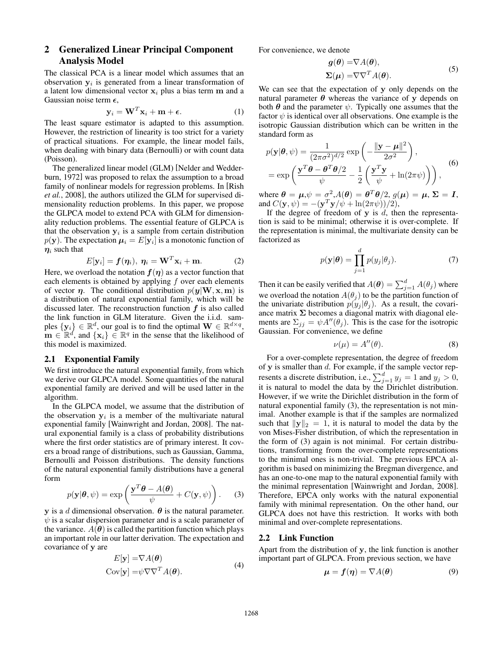# 2 Generalized Linear Principal Component Analysis Model

The classical PCA is a linear model which assumes that an observation  $y_i$  is generated from a linear transformation of a latent low dimensional vector  $x_i$  plus a bias term m and a Gaussian noise term  $\epsilon$ ,

$$
\mathbf{y}_i = \mathbf{W}^T \mathbf{x}_i + \mathbf{m} + \boldsymbol{\epsilon}.
$$
 (1)

The least square estimator is adapted to this assumption. However, the restriction of linearity is too strict for a variety of practical situations. For example, the linear model fails, when dealing with binary data (Bernoulli) or with count data (Poisson).

The generalized linear model (GLM) [Nelder and Wedderburn, 1972] was proposed to relax the assumption to a broad family of nonlinear models for regression problems. In [Rish *et al.*, 2008], the authors utilized the GLM for supervised dimensionality reduction problems. In this paper, we propose the GLPCA model to extend PCA with GLM for dimensionality reduction problems. The essential feature of GLPCA is that the observation  $y_i$  is a sample from certain distribution  $p(\mathbf{y})$ . The expectation  $\boldsymbol{\mu}_i = E[\mathbf{y}_i]$  is a monotonic function of  $\eta_i$  such that

$$
E[\mathbf{y}_i] = \mathbf{f}(\boldsymbol{\eta}_i), \ \boldsymbol{\eta}_i = \mathbf{W}^T \mathbf{x}_i + \mathbf{m}.\tag{2}
$$

Here, we overload the notation  $f(\eta)$  as a vector function that each elements is obtained by applying  $f$  over each elements of vector  $\eta$ . The conditional distribution  $p(\mathbf{y}|\mathbf{W}, \mathbf{x}, \mathbf{m})$  is a distribution of natural exponential family, which will be discussed later. The reconstruction function  $f$  is also called the link function in GLM literature. Given the i.i.d. samples  $\{y_i\} \in \mathbb{R}^d$ , our goal is to find the optimal  $\mathbf{W} \in \mathbb{R}^{d \times q}$ ,  $\mathbf{m} \in \mathbb{R}^d$ , and  $\{\mathbf{x}_i\} \in \mathbb{R}^q$  in the sense that the likelihood of this model is maximized.

#### 2.1 Exponential Family

We first introduce the natural exponential family, from which we derive our GLPCA model. Some quantities of the natural exponential family are derived and will be used latter in the algorithm.

In the GLPCA model, we assume that the distribution of the observation  $y_i$  is a member of the multivariate natural exponential family [Wainwright and Jordan, 2008]. The natural exponential family is a class of probability distributions where the first order statistics are of primary interest. It covers a broad range of distributions, such as Gaussian, Gamma, Bernoulli and Poisson distributions. The density functions of the natural exponential family distributions have a general form

$$
p(\mathbf{y}|\boldsymbol{\theta},\psi) = \exp\left(\frac{\mathbf{y}^T\boldsymbol{\theta} - A(\boldsymbol{\theta})}{\psi} + C(\mathbf{y},\psi)\right). \tag{3}
$$

y is a d dimensional observation.  $\theta$  is the natural parameter.  $\psi$  is a scalar dispersion parameter and is a scale parameter of the variance.  $A(\theta)$  is called the partition function which plays an important role in our latter derivation. The expectation and covariance of y are

$$
E[\mathbf{y}] = \nabla A(\boldsymbol{\theta})
$$
  
Cov $[\mathbf{y}] = \psi \nabla \nabla^{T} A(\boldsymbol{\theta}).$  (4)

For convenience, we denote

$$
g(\theta) = \nabla A(\theta),
$$
  
\n
$$
\Sigma(\mu) = \nabla \nabla^{T} A(\theta).
$$
\n(5)

We can see that the expectation of y only depends on the natural parameter  $\theta$  whereas the variance of y depends on both  $\theta$  and the parameter  $\psi$ . Typically one assumes that the factor  $\psi$  is identical over all observations. One example is the isotropic Gaussian distribution which can be written in the standard form as

$$
p(\mathbf{y}|\boldsymbol{\theta},\psi) = \frac{1}{(2\pi\sigma^2)^{d/2}} \exp\left(-\frac{\|\mathbf{y} - \boldsymbol{\mu}\|^2}{2\sigma^2}\right),
$$
  
= 
$$
\exp\left(\frac{\mathbf{y}^T\boldsymbol{\theta} - \boldsymbol{\theta}^T\boldsymbol{\theta}/2}{\psi} - \frac{1}{2}\left(\frac{\mathbf{y}^T\mathbf{y}}{\psi} + \ln(2\pi\psi)\right)\right),
$$
 (6)

where  $\boldsymbol{\theta} = \boldsymbol{\mu}, \psi = \sigma^2, A(\boldsymbol{\theta}) = \boldsymbol{\theta}^T \boldsymbol{\theta} / 2, g(\boldsymbol{\mu}) = \boldsymbol{\mu}, \boldsymbol{\Sigma} = \boldsymbol{I},$ and  $C(\mathbf{y}, \psi) = -(\mathbf{y}^T \mathbf{y}/\psi + \ln(2\pi\psi))/2),$ 

If the degree of freedom of  $y$  is  $d$ , then the representation is said to be minimal; otherwise it is over-complete. If the representation is minimal, the multivariate density can be factorized as

$$
p(\mathbf{y}|\boldsymbol{\theta}) = \prod_{j=1}^{d} p(y_j|\theta_j).
$$
 (7)

Then it can be easily verified that  $A(\boldsymbol{\theta}) = \sum_{j=1}^d A(\theta_j)$  where we overload the notation  $A(\theta_i)$  to be the partition function of the univariate distribution  $p(y_j | \theta_j)$ . As a result, the covariance matrix  $\Sigma$  becomes a diagonal matrix with diagonal elements are  $\Sigma_{jj} = \psi A''(\theta_j)$ . This is the case for the isotropic Gaussian. For convenience, we define

$$
\nu(\mu) = A''(\theta). \tag{8}
$$

For a over-complete representation, the degree of freedom of  $y$  is smaller than  $d$ . For example, if the sample vector represents a discrete distribution, i.e.,  $\sum_{j=1}^{d} y_j = 1$  and  $y_j > 0$ , it is natural to model the data by the Dirichlet distribution. However, if we write the Dirichlet distribution in the form of natural exponential family (3), the representation is not minimal. Another example is that if the samples are normalized such that  $\|\mathbf{y}\|_2 = 1$ , it is natural to model the data by the von Mises-Fisher distribution, of which the representation in the form of (3) again is not minimal. For certain distributions, transforming from the over-complete representations to the minimal ones is non-trivial. The previous EPCA algorithm is based on minimizing the Bregman divergence, and has an one-to-one map to the natural exponential family with the minimal representation [Wainwright and Jordan, 2008]. Therefore, EPCA only works with the natural exponential family with minimal representation. On the other hand, our GLPCA does not have this restriction. It works with both minimal and over-complete representations.

#### 2.2 Link Function

Apart from the distribution of y, the link function is another important part of GLPCA. From previous section, we have

$$
\boldsymbol{\mu} = \boldsymbol{f}(\boldsymbol{\eta}) = \nabla A(\boldsymbol{\theta}) \tag{9}
$$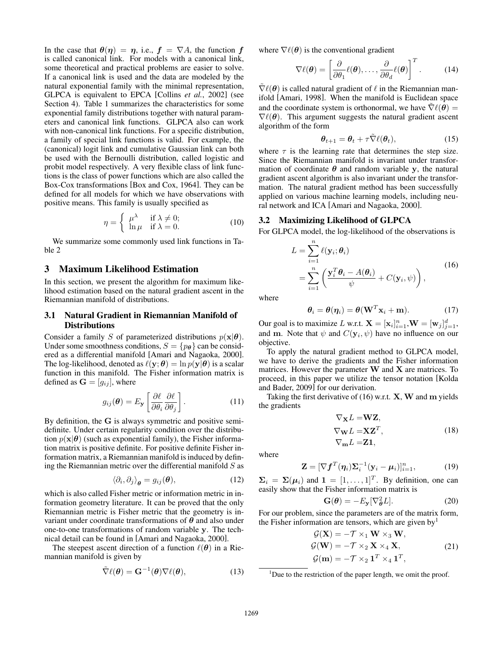In the case that  $\theta(\eta) = \eta$ , i.e.,  $f = \nabla A$ , the function f is called canonical link. For models with a canonical link, some theoretical and practical problems are easier to solve. If a canonical link is used and the data are modeled by the natural exponential family with the minimal representation, GLPCA is equivalent to EPCA [Collins *et al.*, 2002] (see Section 4). Table 1 summarizes the characteristics for some exponential family distributions together with natural parameters and canonical link functions. GLPCA also can work with non-canonical link functions. For a specific distribution, a family of special link functions is valid. For example, the (canonical) logit link and cumulative Gaussian link can both be used with the Bernoulli distribution, called logistic and probit model respectively. A very flexible class of link functions is the class of power functions which are also called the Box-Cox transformations [Box and Cox, 1964]. They can be defined for all models for which we have observations with positive means. This family is usually specified as

$$
\eta = \begin{cases} \mu^{\lambda} & \text{if } \lambda \neq 0; \\ \ln \mu & \text{if } \lambda = 0. \end{cases}
$$
 (10)

We summarize some commonly used link functions in Table 2

### 3 Maximum Likelihood Estimation

In this section, we present the algorithm for maximum likelihood estimation based on the natural gradient ascent in the Riemannian manifold of distributions.

### 3.1 Natural Gradient in Riemannian Manifold of **Distributions**

Consider a family S of parameterized distributions  $p(x|\theta)$ . Under some smoothness conditions,  $S = \{p_{\theta}\}\)$  can be considered as a differential manifold [Amari and Nagaoka, 2000]. The log-likelihood, denoted as  $\ell(y; \theta) = \ln p(y|\theta)$  is a scalar function in this manifold. The Fisher information matrix is defined as  $\mathbf{G} = [g_{ij}]$ , where

$$
g_{ij}(\boldsymbol{\theta}) = E_{\mathbf{y}} \left[ \frac{\partial \ell}{\partial \theta_i} \frac{\partial \ell}{\partial \theta_j} \right]. \tag{11}
$$

By definition, the G is always symmetric and positive semidefinite. Under certain regularity condition over the distribution  $p(x|\theta)$  (such as exponential family), the Fisher information matrix is positive definite. For positive definite Fisher information matrix, a Riemannian manifold is induced by defining the Riemannian metric over the differential manifold  $S$  as

$$
\langle \partial_i, \partial_j \rangle_{\boldsymbol{\theta}} = g_{ij}(\boldsymbol{\theta}), \tag{12}
$$

which is also called Fisher metric or information metric in information geometry literature. It can be proved that the only Riemannian metric is Fisher metric that the geometry is invariant under coordinate transformations of  $\theta$  and also under one-to-one transformations of random variable y. The technical detail can be found in [Amari and Nagaoka, 2000].

The steepest ascent direction of a function  $\ell(\theta)$  in a Riemannian manifold is given by

$$
\tilde{\nabla}\ell(\boldsymbol{\theta}) = \mathbf{G}^{-1}(\boldsymbol{\theta})\nabla\ell(\boldsymbol{\theta}),\tag{13}
$$

where  $\nabla \ell(\theta)$  is the conventional gradient

$$
\nabla \ell(\boldsymbol{\theta}) = \left[\frac{\partial}{\partial \theta_1} \ell(\boldsymbol{\theta}), \dots, \frac{\partial}{\partial \theta_d} \ell(\boldsymbol{\theta})\right]^T.
$$
 (14)

 $\nabla \ell(\theta)$  is called natural gradient of  $\ell$  in the Riemannian manifold [Amari, 1998]. When the manifold is Euclidean space and the coordinate system is orthonormal, we have  $\tilde{\nabla}\ell(\theta) =$  $\nabla \ell(\theta)$ . This argument suggests the natural gradient ascent algorithm of the form

$$
\boldsymbol{\theta}_{t+1} = \boldsymbol{\theta}_t + \tau \tilde{\nabla} \ell(\boldsymbol{\theta}_t), \tag{15}
$$

where  $\tau$  is the learning rate that determines the step size. Since the Riemannian manifold is invariant under transformation of coordinate  $\theta$  and random variable v, the natural gradient ascent algorithm is also invariant under the transformation. The natural gradient method has been successfully applied on various machine learning models, including neural network and ICA [Amari and Nagaoka, 2000].

### 3.2 Maximizing Likelihood of GLPCA

For GLPCA model, the log-likelihood of the observations is

$$
L = \sum_{i=1}^{n} \ell(\mathbf{y}_i; \boldsymbol{\theta}_i)
$$
  
= 
$$
\sum_{i=1}^{n} \left( \frac{\mathbf{y}_i^T \boldsymbol{\theta}_i - A(\boldsymbol{\theta}_i)}{\psi} + C(\mathbf{y}_i, \psi) \right),
$$
 (16)

where

$$
\theta_i = \theta(\eta_i) = \theta(\mathbf{W}^T \mathbf{x}_i + \mathbf{m}). \tag{17}
$$

Our goal is to maximize L w.r.t.  $\mathbf{X} = [\mathbf{x}_i]_{i=1}^n, \mathbf{W} = [\mathbf{w}_j]_{j=1}^d$ , and **m**. Note that  $\psi$  and  $C(\mathbf{y}_i, \psi)$  have no influence on our objective.

To apply the natural gradient method to GLPCA model, we have to derive the gradients and the Fisher information matrices. However the parameter  $W$  and  $X$  are matrices. To proceed, in this paper we utilize the tensor notation [Kolda and Bader, 2009] for our derivation.

Taking the first derivative of  $(16)$  w.r.t.  $X$ ,  $W$  and  $m$  yields the gradients

$$
\nabla_{\mathbf{X}} L = \mathbf{WZ},
$$
  
\n
$$
\nabla_{\mathbf{W}} L = \mathbf{XZ}^{T},
$$
  
\n
$$
\nabla_{\mathbf{m}} L = \mathbf{Z1},
$$
\n(18)

where

$$
\mathbf{Z} = [\nabla \boldsymbol{f}^T(\boldsymbol{\eta}_i) \boldsymbol{\Sigma}_i^{-1} (\mathbf{y}_i - \boldsymbol{\mu}_i)]_{i=1}^n, \quad (19)
$$

 $\Sigma_i = \Sigma(\mu_i)$  and  $\mathbf{1} = [1, \dots, 1]^T$ . By definition, one can easily show that the Fisher information matrix is

$$
\mathbf{G}(\boldsymbol{\theta}) = -E_{\mathbf{y}}[\nabla_{\boldsymbol{\theta}}^2 L].
$$
 (20)

For our problem, since the parameters are of the matrix form, the Fisher information are tensors, which are given by<sup>1</sup>

$$
G(\mathbf{X}) = -\mathcal{T} \times_1 \mathbf{W} \times_3 \mathbf{W},
$$
  
\n
$$
G(\mathbf{W}) = -\mathcal{T} \times_2 \mathbf{X} \times_4 \mathbf{X},
$$
  
\n
$$
G(\mathbf{m}) = -\mathcal{T} \times_2 \mathbf{1}^T \times_4 \mathbf{1}^T,
$$
\n(21)

<sup>&</sup>lt;sup>1</sup>Due to the restriction of the paper length, we omit the proof.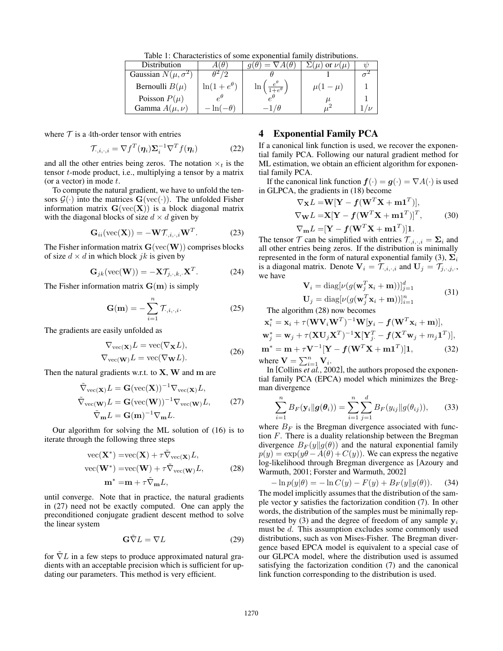Table 1: Characteristics of some exponential family distributions.

| Distribution                |                     |                  | or $\nu(\mu)$ |  |
|-----------------------------|---------------------|------------------|---------------|--|
| Gaussian $N(\mu, \sigma^2)$ |                     |                  |               |  |
| Bernoulli $B(\mu)$          | $\ln(1+e^{\theta})$ | $t + e^{\theta}$ | $\mu(1-\mu)$  |  |
| Poisson $P(\mu)$            |                     |                  |               |  |
| Gamma $A(\mu, \nu)$         |                     |                  |               |  |

where  $T$  is a 4th-order tensor with entries

$$
\mathcal{T}_{,i,\cdot,i} = \nabla f^T(\boldsymbol{\eta}_i) \Sigma_i^{-1} \nabla^T f(\boldsymbol{\eta}_i)
$$
 (22)

and all the other entries being zeros. The notation  $\times_t$  is the tensor t-mode product, i.e., multiplying a tensor by a matrix (or a vector) in mode  $t$ .

To compute the natural gradient, we have to unfold the tensors  $\mathcal{G}(\cdot)$  into the matrices  $\mathbf{G}(\text{vec}(\cdot))$ . The unfolded Fisher information matrix  $\mathbf{G}(\text{vec}(\mathbf{X}))$  is a block diagonal matrix with the diagonal blocks of size  $d \times d$  given by

$$
\mathbf{G}_{ii}(\text{vec}(\mathbf{X})) = -\mathbf{W}\mathcal{T}_{,i,\cdot,i}\mathbf{W}^T.
$$
 (23)

The Fisher information matrix  $\mathbf{G}(\text{vec}(\mathbf{W}))$  comprises blocks of size  $d \times d$  in which block jk is given by

$$
\mathbf{G}_{jk}(\text{vec}(\mathbf{W})) = -\mathbf{X}\mathcal{T}_{j,\cdot,k,\cdot}\mathbf{X}^T.
$$
 (24)

The Fisher information matrix  $\mathbf{G}(\mathbf{m})$  is simply

$$
\mathbf{G(m)} = -\sum_{i=1}^{n} \mathcal{T}_{\cdot,i,\cdot,i}.\tag{25}
$$

The gradients are easily unfolded as

$$
\nabla_{\text{vec}(\mathbf{X})} L = \text{vec}(\nabla_{\mathbf{X}} L),
$$
  
\n
$$
\nabla_{\text{vec}(\mathbf{W})} L = \text{vec}(\nabla_{\mathbf{W}} L).
$$
 (26)

Then the natural gradients w.r.t. to  $X$ ,  $W$  and  $m$  are

$$
\tilde{\nabla}_{\text{vec}(\mathbf{X})} L = \mathbf{G}(\text{vec}(\mathbf{X}))^{-1} \nabla_{\text{vec}(\mathbf{X})} L,
$$
  
\n
$$
\tilde{\nabla}_{\text{vec}(\mathbf{W})} L = \mathbf{G}(\text{vec}(\mathbf{W}))^{-1} \nabla_{\text{vec}(\mathbf{W})} L,
$$
\n
$$
\tilde{\nabla}_{\mathbf{m}} L = \mathbf{G}(\mathbf{m})^{-1} \nabla_{\mathbf{m}} L.
$$
\n(27)

Our algorithm for solving the ML solution of (16) is to iterate through the following three steps

vec(
$$
\mathbf{X}^*
$$
) =vec( $\mathbf{X}$ ) +  $\tau \tilde{\nabla}_{vec}(\mathbf{X}) L$ ,  
\nvec( $\mathbf{W}^*$ ) =vec( $\mathbf{W}$ ) +  $\tau \tilde{\nabla}_{vec}(\mathbf{W}) L$ , (28)  
\n $\mathbf{m}^* = \mathbf{m} + \tau \tilde{\nabla}_{\mathbf{m} L}$ ,

until converge. Note that in practice, the natural gradients in (27) need not be exactly computed. One can apply the preconditioned conjugate gradient descent method to solve the linear system

$$
\mathbf{G}\tilde{\nabla}L = \nabla L \tag{29}
$$

for  $\tilde{\nabla}L$  in a few steps to produce approximated natural gradients with an acceptable precision which is sufficient for updating our parameters. This method is very efficient.

### 4 Exponential Family PCA

If a canonical link function is used, we recover the exponential family PCA. Following our natural gradient method for ML estimation, we obtain an efficient algorithm for exponential family PCA.

If the canonical link function  $f(\cdot) = g(\cdot) = \nabla A(\cdot)$  is used in GLPCA, the gradients in (18) become

$$
\nabla_{\mathbf{X}} L = \mathbf{W} [\mathbf{Y} - f(\mathbf{W}^T \mathbf{X} + \mathbf{m} \mathbf{1}^T)],
$$
  
\n
$$
\nabla_{\mathbf{W}} L = \mathbf{X} [\mathbf{Y} - f(\mathbf{W}^T \mathbf{X} + \mathbf{m} \mathbf{1}^T)]^T,
$$
 (30)  
\n
$$
\nabla_{\mathbf{m}} L = [\mathbf{Y} - f(\mathbf{W}^T \mathbf{X} + \mathbf{m} \mathbf{1}^T)] \mathbf{1}.
$$

The tensor  $\mathcal T$  can be simplified with entries  $\mathcal T_{i,i,\cdot,i} = \Sigma_i$  and all other entries being zeros. If the distribution is minimally represented in the form of natural exponential family (3),  $\Sigma_i$ is a diagonal matrix. Denote  $V_i = \mathcal{T}_{i,i,\cdot,i}$  and  $U_j = \mathcal{T}_{j,\cdot,j,\cdot}$ we have

$$
\mathbf{V}_{i} = \text{diag}[\nu(g(\mathbf{w}_{j}^{T}\mathbf{x}_{i} + \mathbf{m}))]_{j=1}^{d}
$$
  
\n
$$
\mathbf{U}_{j} = \text{diag}[\nu(g(\mathbf{w}_{j}^{T}\mathbf{x}_{i} + \mathbf{m}))]_{i=1}^{n}
$$
\n(31)

The algorithm (28) now becomes

$$
\mathbf{x}_{i}^{*} = \mathbf{x}_{i} + \tau(\mathbf{W}\mathbf{V}_{i}\mathbf{W}^{T})^{-1}\mathbf{W}[\mathbf{y}_{i} - \mathbf{f}(\mathbf{W}^{T}\mathbf{x}_{i} + \mathbf{m})],
$$
\n
$$
\mathbf{w}_{j}^{*} = \mathbf{w}_{j} + \tau(\mathbf{X}\mathbf{U}_{j}\mathbf{X}^{T})^{-1}\mathbf{X}[\mathbf{Y}_{j}^{T} - \mathbf{f}(\mathbf{X}^{T}\mathbf{w}_{j} + m_{j}\mathbf{1}^{T})],
$$
\n
$$
\mathbf{m}^{*} = \mathbf{m} + \tau\mathbf{V}^{-1}[\mathbf{Y} - \mathbf{f}(\mathbf{W}^{T}\mathbf{X} + \mathbf{m}\mathbf{1}^{T})]\mathbf{1},
$$
\n(32)

where  $\mathbf{V} = \sum_{i=1}^{n} \mathbf{V}_i$ .

In [Collins *et al.*, 2002], the authors proposed the exponential family PCA (EPCA) model which minimizes the Bregman divergence

$$
\sum_{i=1}^{n} B_{F}(\mathbf{y}_{i} \| \mathbf{g}(\boldsymbol{\theta}_{i})) = \sum_{i=1}^{n} \sum_{j=1}^{d} B_{F}(y_{ij} \| g(\theta_{ij}))
$$
\n(33)

where  $B_F$  is the Bregman divergence associated with function F. There is a duality relationship between the Bregman divergence  $B_F(y||g(\theta))$  and the natural exponential family  $p(y) = \exp(y\theta - A(\theta) + C(y))$ . We can express the negative log-likelihood through Bregman divergence as [Azoury and Warmuth, 2001; Forster and Warmuth, 2002]

 $-\ln p(y|\theta) = -\ln C(y) - F(y) + B_F(y||g(\theta)).$  (34) The model implicitly assumes that the distribution of the sample vector y satisfies the factorization condition (7). In other words, the distribution of the samples must be minimally represented by (3) and the degree of freedom of any sample  $y_i$ must be d. This assumption excludes some commonly used distributions, such as von Mises-Fisher. The Bregman divergence based EPCA model is equivalent to a special case of our GLPCA model, where the distribution used is assumed satisfying the factorization condition (7) and the canonical link function corresponding to the distribution is used.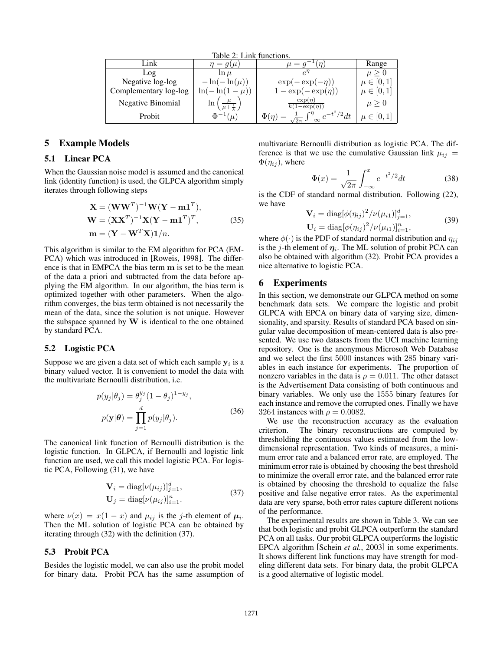Table 2: Link functions. −1

| Link                     | $\eta = g(\mu)$            | $\mu = g^{-1}$ .<br>$\lfloor n \rfloor$                                          | Range            |
|--------------------------|----------------------------|----------------------------------------------------------------------------------|------------------|
| Log                      | $\ln \mu$                  |                                                                                  | $\mu > 0$        |
| Negative log-log         | $-\ln(-\ln(\mu))$          | $\exp(-\exp(-\eta))$                                                             | $\mu \in [0, 1]$ |
| Complementary log-log    | $\ln(-\ln(1-\mu))$         | $1 - \exp(-\exp(\eta))$                                                          | $\mu \in [0, 1]$ |
| <b>Negative Binomial</b> | ln.<br>$\mu + \frac{1}{k}$ | $\exp(\eta)$<br>$k(1-\exp(\eta))$                                                | $\mu > 0$        |
| Probit                   | $\Phi^{-1}(\mu)$           | $1 - t^2/2}dt +$<br>$\Phi(\eta)$<br>$\frac{1}{\sqrt{2\pi}}\int_{-\infty}^{\eta}$ | $\in [0, 1]$     |

## 5 Example Models

# 5.1 Linear PCA

When the Gaussian noise model is assumed and the canonical link (identity function) is used, the GLPCA algorithm simply iterates through following steps

$$
\mathbf{X} = (\mathbf{W}\mathbf{W}^T)^{-1}\mathbf{W}(\mathbf{Y} - \mathbf{m}\mathbf{1}^T),
$$
  
\n
$$
\mathbf{W} = (\mathbf{X}\mathbf{X}^T)^{-1}\mathbf{X}(\mathbf{Y} - \mathbf{m}\mathbf{1}^T)^T,
$$
  
\n
$$
\mathbf{m} = (\mathbf{Y} - \mathbf{W}^T\mathbf{X})\mathbf{1}/n.
$$
\n(35)

This algorithm is similar to the EM algorithm for PCA (EM-PCA) which was introduced in [Roweis, 1998]. The difference is that in EMPCA the bias term m is set to be the mean of the data a priori and subtracted from the data before applying the EM algorithm. In our algorithm, the bias term is optimized together with other parameters. When the algorithm converges, the bias term obtained is not necessarily the mean of the data, since the solution is not unique. However the subspace spanned by  $W$  is identical to the one obtained by standard PCA.

#### 5.2 Logistic PCA

Suppose we are given a data set of which each sample  $y_i$  is a binary valued vector. It is convenient to model the data with the multivariate Bernoulli distribution, i.e.

$$
p(y_j|\theta_j) = \theta_j^{y_j} (1 - \theta_j)^{1 - y_j},
$$
  
\n
$$
p(\mathbf{y}|\boldsymbol{\theta}) = \prod_{j=1}^d p(y_j|\theta_j).
$$
\n(36)

The canonical link function of Bernoulli distribution is the logistic function. In GLPCA, if Bernoulli and logistic link function are used, we call this model logistic PCA. For logistic PCA, Following (31), we have

$$
\mathbf{V}_{i} = \text{diag}[\nu(\mu_{ij})]_{j=1}^{d},
$$
  
\n
$$
\mathbf{U}_{j} = \text{diag}[\nu(\mu_{ij})]_{i=1}^{n}.
$$
\n(37)

where  $\nu(x) = x(1-x)$  and  $\mu_{ij}$  is the *j*-th element of  $\mu_i$ . Then the ML solution of logistic PCA can be obtained by iterating through (32) with the definition (37).

## 5.3 Probit PCA

Besides the logistic model, we can also use the probit model for binary data. Probit PCA has the same assumption of multivariate Bernoulli distribution as logistic PCA. The difference is that we use the cumulative Gaussian link  $\mu_{ij}$  =  $\Phi(\eta_{ij})$ , where

$$
\Phi(x) = \frac{1}{\sqrt{2\pi}} \int_{-\infty}^{x} e^{-t^2/2} dt
$$
 (38)

is the CDF of standard normal distribution. Following (22), we have

$$
\mathbf{V}_{i} = \text{diag}[\phi(\eta_{ij})^{2} / \nu(\mu_{i1})]_{j=1}^{d},
$$
  
\n
$$
\mathbf{U}_{i} = \text{diag}[\phi(\eta_{ij})^{2} / \nu(\mu_{i1})]_{i=1}^{n},
$$
\n(39)

where  $\phi(\cdot)$  is the PDF of standard normal distribution and  $\eta_{ij}$ is the j-th element of  $\eta_i$ . The ML solution of probit PCA can also be obtained with algorithm (32). Probit PCA provides a nice alternative to logistic PCA.

## 6 Experiments

In this section, we demonstrate our GLPCA method on some benchmark data sets. We compare the logistic and probit GLPCA with EPCA on binary data of varying size, dimensionality, and sparsity. Results of standard PCA based on singular value decomposition of mean-centered data is also presented. We use two datasets from the UCI machine learning repository. One is the anonymous Microsoft Web Database and we select the first 5000 instances with 285 binary variables in each instance for experiments. The proportion of nonzero variables in the data is  $\rho = 0.011$ . The other dataset is the Advertisement Data consisting of both continuous and binary variables. We only use the 1555 binary features for each instance and remove the corrupted ones. Finally we have 3264 instances with  $\rho = 0.0082$ .

We use the reconstruction accuracy as the evaluation criterion. The binary reconstructions are computed by thresholding the continuous values estimated from the lowdimensional representation. Two kinds of measures, a minimum error rate and a balanced error rate, are employed. The minimum error rate is obtained by choosing the best threshold to minimize the overall error rate, and the balanced error rate is obtained by choosing the threshold to equalize the false positive and false negative error rates. As the experimental data are very sparse, both error rates capture different notions of the performance.

The experimental results are shown in Table 3. We can see that both logistic and probit GLPCA outperform the standard PCA on all tasks. Our probit GLPCA outperforms the logistic EPCA algorithm [Schein *et al.*, 2003] in some experiments. It shows different link functions may have strength for modeling different data sets. For binary data, the probit GLPCA is a good alternative of logistic model.